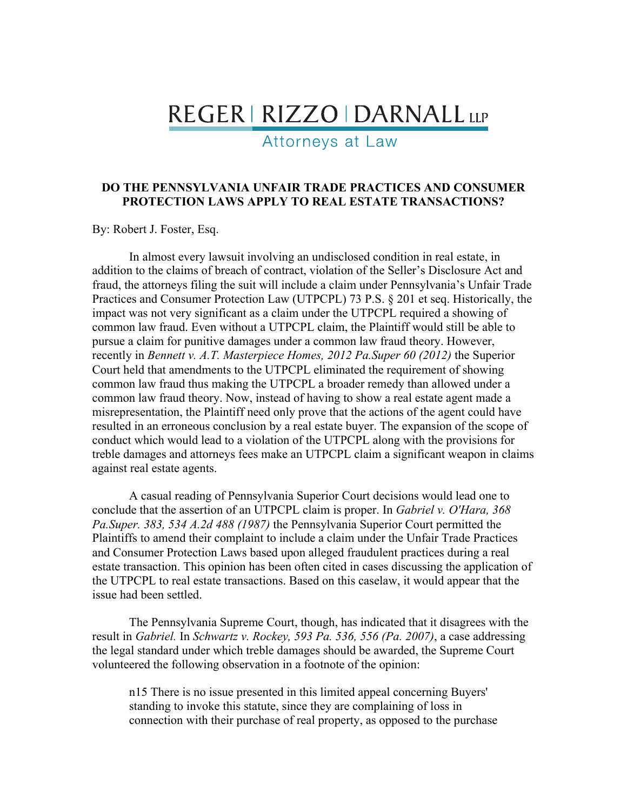## REGER | RIZZO | DARNALL LLP

Attorneys at Law

## **DO THE PENNSYLVANIA UNFAIR TRADE PRACTICES AND CONSUMER PROTECTION LAWS APPLY TO REAL ESTATE TRANSACTIONS?**

By: Robert J. Foster, Esq.

In almost every lawsuit involving an undisclosed condition in real estate, in addition to the claims of breach of contract, violation of the Seller's Disclosure Act and fraud, the attorneys filing the suit will include a claim under Pennsylvania's Unfair Trade Practices and Consumer Protection Law (UTPCPL) 73 P.S. § 201 et seq. Historically, the impact was not very significant as a claim under the UTPCPL required a showing of common law fraud. Even without a UTPCPL claim, the Plaintiff would still be able to pursue a claim for punitive damages under a common law fraud theory. However, recently in *Bennett v. A.T. Masterpiece Homes, 2012 Pa.Super 60 (2012)* the Superior Court held that amendments to the UTPCPL eliminated the requirement of showing common law fraud thus making the UTPCPL a broader remedy than allowed under a common law fraud theory. Now, instead of having to show a real estate agent made a misrepresentation, the Plaintiff need only prove that the actions of the agent could have resulted in an erroneous conclusion by a real estate buyer. The expansion of the scope of conduct which would lead to a violation of the UTPCPL along with the provisions for treble damages and attorneys fees make an UTPCPL claim a significant weapon in claims against real estate agents.

A casual reading of Pennsylvania Superior Court decisions would lead one to conclude that the assertion of an UTPCPL claim is proper. In *Gabriel v. O'Hara, 368 Pa.Super. 383, 534 A.2d 488 (1987)* the Pennsylvania Superior Court permitted the Plaintiffs to amend their complaint to include a claim under the Unfair Trade Practices and Consumer Protection Laws based upon alleged fraudulent practices during a real estate transaction. This opinion has been often cited in cases discussing the application of the UTPCPL to real estate transactions. Based on this caselaw, it would appear that the issue had been settled.

The Pennsylvania Supreme Court, though, has indicated that it disagrees with the result in *Gabriel.* In *Schwartz v. Rockey, 593 Pa. 536, 556 (Pa. 2007)*, a case addressing the legal standard under which treble damages should be awarded, the Supreme Court volunteered the following observation in a footnote of the opinion:

n15 There is no issue presented in this limited appeal concerning Buyers' standing to invoke this statute, since they are complaining of loss in connection with their purchase of real property, as opposed to the purchase